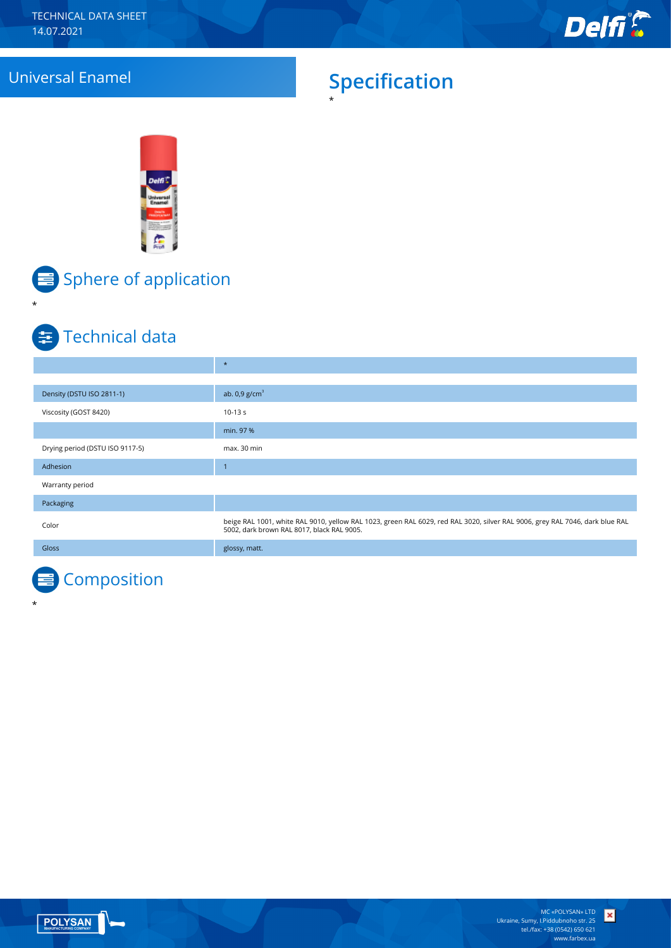# Universal Enamel **Specification**

\*





\*

\*

# $\equiv$  Sphere of application

## **E** Technical data

|                                 | $\star$                                                                                                                                                                    |
|---------------------------------|----------------------------------------------------------------------------------------------------------------------------------------------------------------------------|
|                                 |                                                                                                                                                                            |
| Density (DSTU ISO 2811-1)       | ab. $0.9$ g/cm <sup>3</sup>                                                                                                                                                |
| Viscosity (GOST 8420)           | $10-13 s$                                                                                                                                                                  |
|                                 | min. 97 %                                                                                                                                                                  |
| Drying period (DSTU ISO 9117-5) | max. 30 min                                                                                                                                                                |
| Adhesion                        | ×,                                                                                                                                                                         |
| Warranty period                 |                                                                                                                                                                            |
| Packaging                       |                                                                                                                                                                            |
| Color                           | beige RAL 1001, white RAL 9010, yellow RAL 1023, green RAL 6029, red RAL 3020, silver RAL 9006, grey RAL 7046, dark blue RAL<br>5002, dark brown RAL 8017, black RAL 9005. |
| <b>Gloss</b>                    | glossy, matt.                                                                                                                                                              |